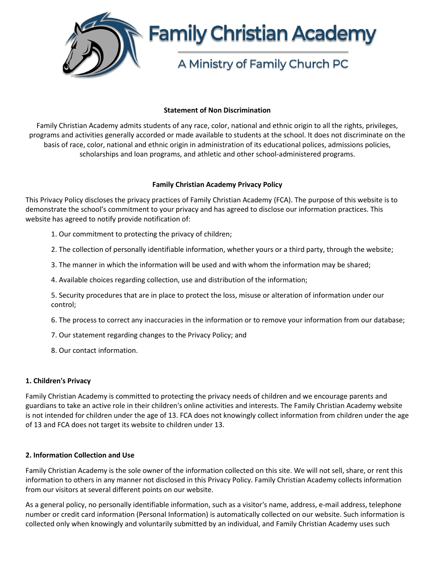

## **Statement of Non Discrimination**

Family Christian Academy admits students of any race, color, national and ethnic origin to all the rights, privileges, programs and activities generally accorded or made available to students at the school. It does not discriminate on the basis of race, color, national and ethnic origin in administration of its educational polices, admissions policies, scholarships and loan programs, and athletic and other school-administered programs.

## **Family Christian Academy Privacy Policy**

This Privacy Policy discloses the privacy practices of Family Christian Academy (FCA). The purpose of this website is to demonstrate the school's commitment to your privacy and has agreed to disclose our information practices. This website has agreed to notify provide notification of:

- 1. Our commitment to protecting the privacy of children;
- 2. The collection of personally identifiable information, whether yours or a third party, through the website;
- 3. The manner in which the information will be used and with whom the information may be shared;
- 4. Available choices regarding collection, use and distribution of the information;
- 5. Security procedures that are in place to protect the loss, misuse or alteration of information under our control;
- 6. The process to correct any inaccuracies in the information or to remove your information from our database;
- 7. Our statement regarding changes to the Privacy Policy; and
- 8. Our contact information.

# **1. Children's Privacy**

Family Christian Academy is committed to protecting the privacy needs of children and we encourage parents and guardians to take an active role in their children's online activities and interests. The Family Christian Academy website is not intended for children under the age of 13. FCA does not knowingly collect information from children under the age of 13 and FCA does not target its website to children under 13.

#### **2. Information Collection and Use**

Family Christian Academy is the sole owner of the information collected on this site. We will not sell, share, or rent this information to others in any manner not disclosed in this Privacy Policy. Family Christian Academy collects information from our visitors at several different points on our website.

As a general policy, no personally identifiable information, such as a visitor's name, address, e-mail address, telephone number or credit card information (Personal Information) is automatically collected on our website. Such information is collected only when knowingly and voluntarily submitted by an individual, and Family Christian Academy uses such